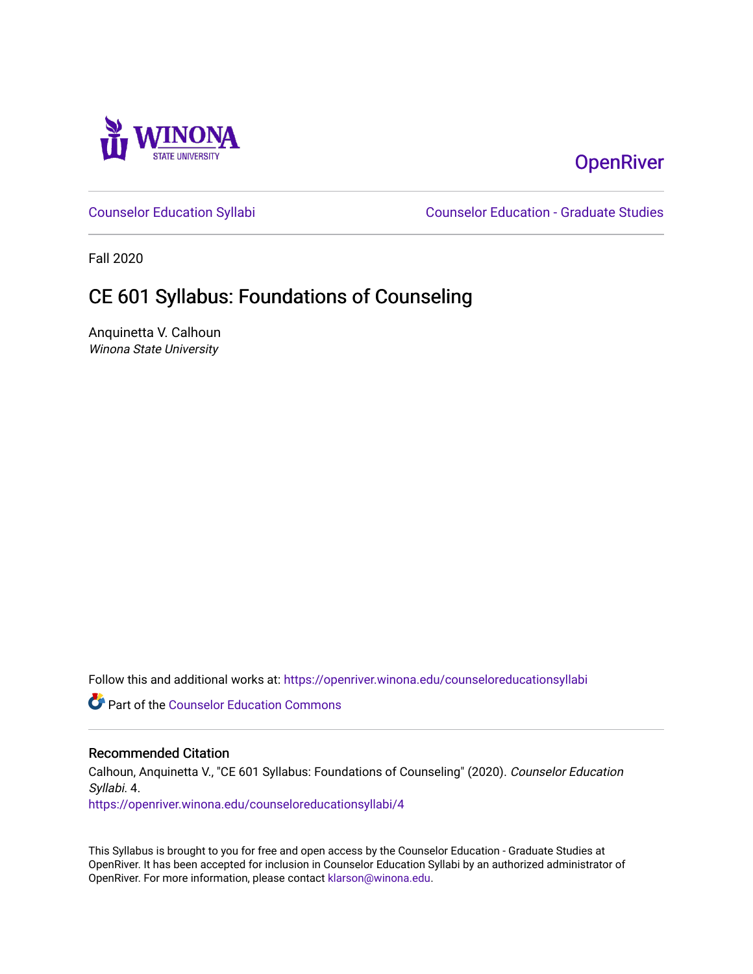

# **OpenRiver**

[Counselor Education Syllabi](https://openriver.winona.edu/counseloreducationsyllabi) [Counselor Education - Graduate Studies](https://openriver.winona.edu/counseloreducation) 

Fall 2020

# CE 601 Syllabus: Foundations of Counseling

Anquinetta V. Calhoun Winona State University

Follow this and additional works at: [https://openriver.winona.edu/counseloreducationsyllabi](https://openriver.winona.edu/counseloreducationsyllabi?utm_source=openriver.winona.edu%2Fcounseloreducationsyllabi%2F4&utm_medium=PDF&utm_campaign=PDFCoverPages)

Part of the [Counselor Education Commons](http://network.bepress.com/hgg/discipline/1278?utm_source=openriver.winona.edu%2Fcounseloreducationsyllabi%2F4&utm_medium=PDF&utm_campaign=PDFCoverPages) 

#### Recommended Citation

Calhoun, Anquinetta V., "CE 601 Syllabus: Foundations of Counseling" (2020). Counselor Education Syllabi. 4.

[https://openriver.winona.edu/counseloreducationsyllabi/4](https://openriver.winona.edu/counseloreducationsyllabi/4?utm_source=openriver.winona.edu%2Fcounseloreducationsyllabi%2F4&utm_medium=PDF&utm_campaign=PDFCoverPages) 

This Syllabus is brought to you for free and open access by the Counselor Education - Graduate Studies at OpenRiver. It has been accepted for inclusion in Counselor Education Syllabi by an authorized administrator of OpenRiver. For more information, please contact [klarson@winona.edu](mailto:klarson@winona.edu).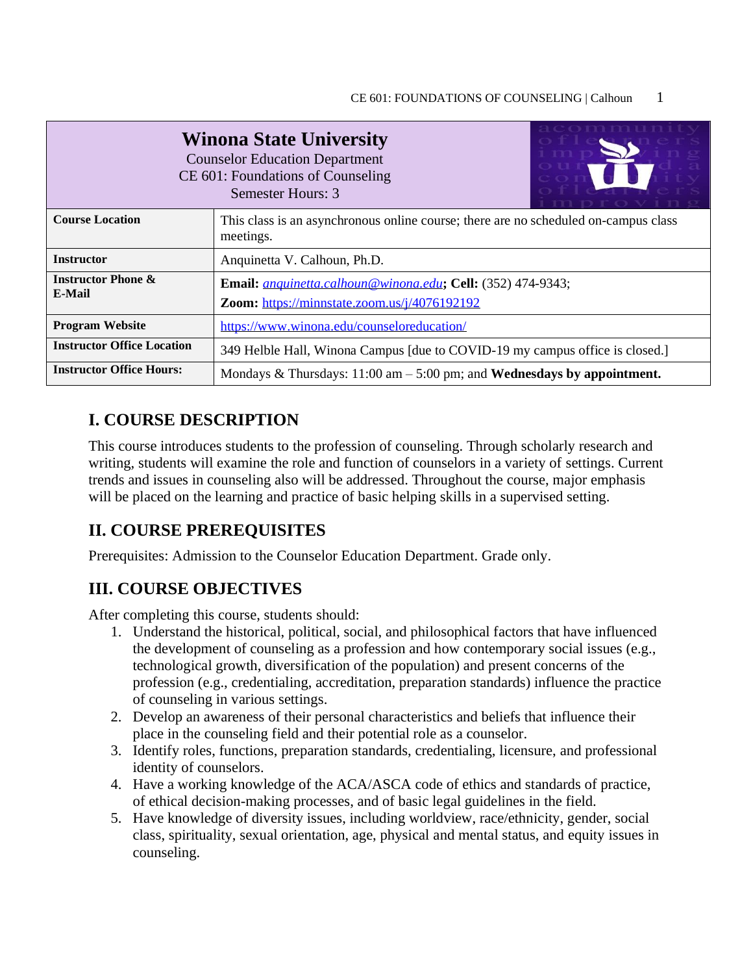| acommunity<br><b>Winona State University</b><br><b>Counselor Education Department</b><br>CE 601: Foundations of Counseling<br>Semester Hours: 3 |                                                                                                                     |  |  |  |
|-------------------------------------------------------------------------------------------------------------------------------------------------|---------------------------------------------------------------------------------------------------------------------|--|--|--|
| <b>Course Location</b>                                                                                                                          | This class is an asynchronous online course; there are no scheduled on-campus class<br>meetings.                    |  |  |  |
| <b>Instructor</b>                                                                                                                               | Anquinetta V. Calhoun, Ph.D.                                                                                        |  |  |  |
| <b>Instructor Phone &amp;</b><br>E-Mail                                                                                                         | Email: <i>anquinetta.calhoun@winona.edu</i> ; Cell: (352) 474-9343;<br>Zoom: https://minnstate.zoom.us/j/4076192192 |  |  |  |
| <b>Program Website</b>                                                                                                                          | https://www.winona.edu/counseloreducation/                                                                          |  |  |  |
| <b>Instructor Office Location</b>                                                                                                               | 349 Helble Hall, Winona Campus [due to COVID-19 my campus office is closed.]                                        |  |  |  |
| <b>Instructor Office Hours:</b>                                                                                                                 | Mondays & Thursdays: $11:00$ am $-5:00$ pm; and Wednesdays by appointment.                                          |  |  |  |

### **I. COURSE DESCRIPTION**

This course introduces students to the profession of counseling. Through scholarly research and writing, students will examine the role and function of counselors in a variety of settings. Current trends and issues in counseling also will be addressed. Throughout the course, major emphasis will be placed on the learning and practice of basic helping skills in a supervised setting.

## **II. COURSE PREREQUISITES**

Prerequisites: Admission to the Counselor Education Department. Grade only.

### **III. COURSE OBJECTIVES**

After completing this course, students should:

- 1. Understand the historical, political, social, and philosophical factors that have influenced the development of counseling as a profession and how contemporary social issues (e.g., technological growth, diversification of the population) and present concerns of the profession (e.g., credentialing, accreditation, preparation standards) influence the practice of counseling in various settings.
- 2. Develop an awareness of their personal characteristics and beliefs that influence their place in the counseling field and their potential role as a counselor.
- 3. Identify roles, functions, preparation standards, credentialing, licensure, and professional identity of counselors.
- 4. Have a working knowledge of the ACA/ASCA code of ethics and standards of practice, of ethical decision-making processes, and of basic legal guidelines in the field.
- 5. Have knowledge of diversity issues, including worldview, race/ethnicity, gender, social class, spirituality, sexual orientation, age, physical and mental status, and equity issues in counseling.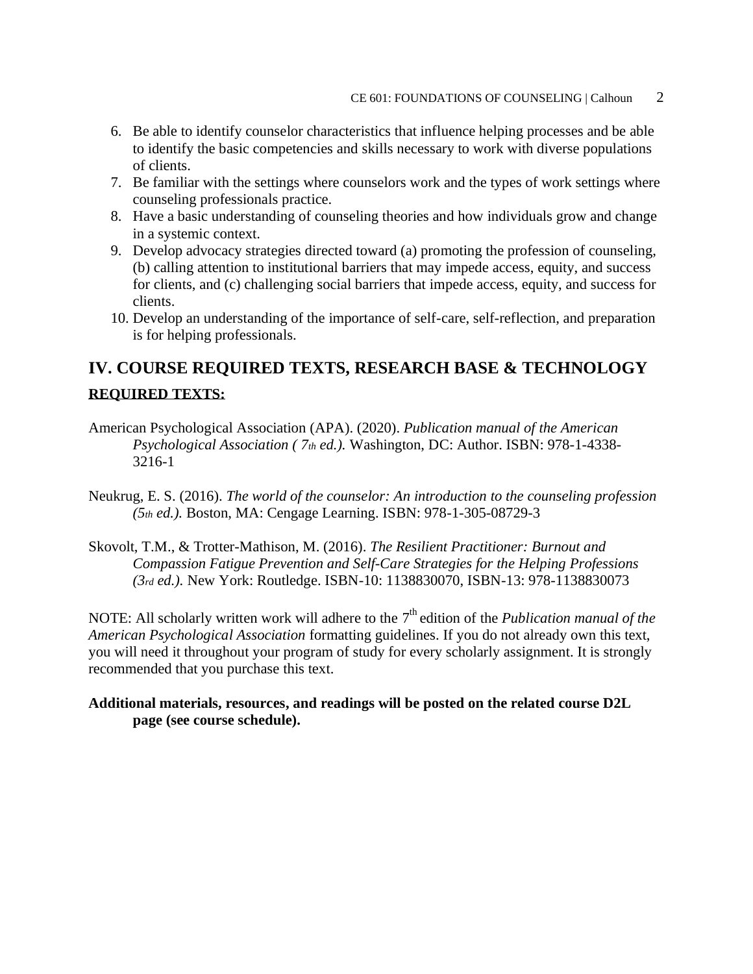- 6. Be able to identify counselor characteristics that influence helping processes and be able to identify the basic competencies and skills necessary to work with diverse populations of clients.
- 7. Be familiar with the settings where counselors work and the types of work settings where counseling professionals practice.
- 8. Have a basic understanding of counseling theories and how individuals grow and change in a systemic context.
- 9. Develop advocacy strategies directed toward (a) promoting the profession of counseling, (b) calling attention to institutional barriers that may impede access, equity, and success for clients, and (c) challenging social barriers that impede access, equity, and success for clients.
- 10. Develop an understanding of the importance of self-care, self-reflection, and preparation is for helping professionals.

# **IV. COURSE REQUIRED TEXTS, RESEARCH BASE & TECHNOLOGY REQUIRED TEXTS:**

- American Psychological Association (APA). (2020). *Publication manual of the American Psychological Association ( 7th ed.).* Washington, DC: Author. ISBN: 978-1-4338- 3216-1
- Neukrug, E. S. (2016). *The world of the counselor: An introduction to the counseling profession (5th ed.).* Boston, MA: Cengage Learning. ISBN: 978-1-305-08729-3
- Skovolt, T.M., & Trotter-Mathison, M. (2016). *The Resilient Practitioner: Burnout and Compassion Fatigue Prevention and Self-Care Strategies for the Helping Professions (3rd ed.).* New York: Routledge. ISBN-10: 1138830070, ISBN-13: 978-1138830073

NOTE: All scholarly written work will adhere to the 7<sup>th</sup> edition of the *Publication manual of the American Psychological Association* formatting guidelines. If you do not already own this text, you will need it throughout your program of study for every scholarly assignment. It is strongly recommended that you purchase this text.

#### **Additional materials, resources, and readings will be posted on the related course D2L page (see course schedule).**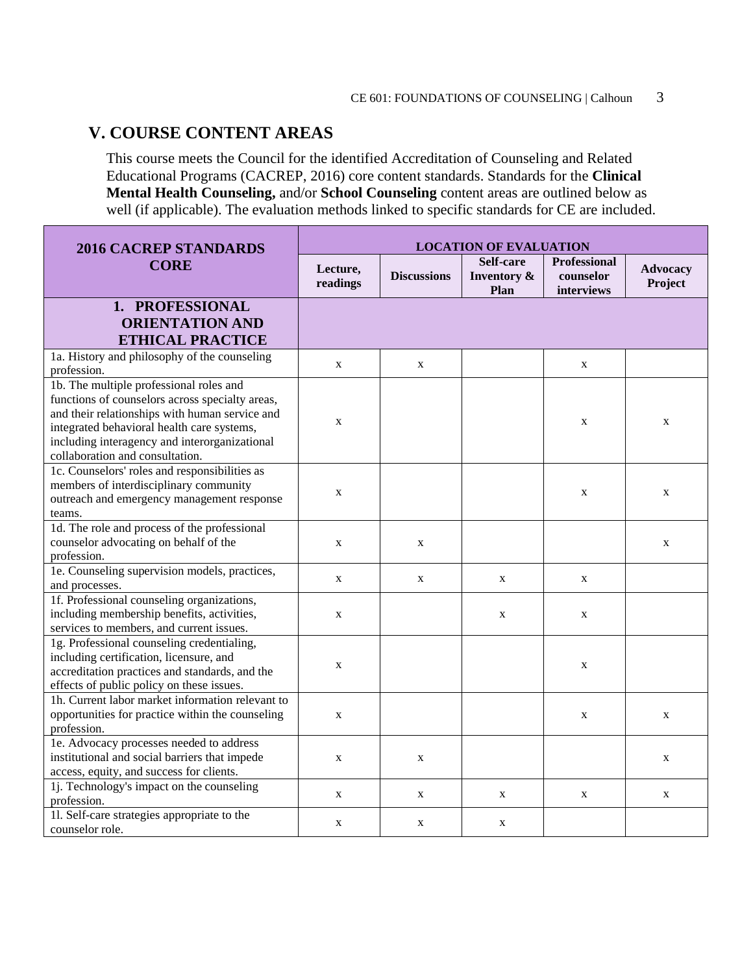### **V. COURSE CONTENT AREAS**

This course meets the Council for the identified Accreditation of Counseling and Related Educational Programs (CACREP, 2016) core content standards. Standards for the **Clinical Mental Health Counseling,** and/or **School Counseling** content areas are outlined below as well (if applicable). The evaluation methods linked to specific standards for CE are included.

| Self-care<br>Professional<br><b>CORE</b><br><b>Advocacy</b><br>Lecture,<br><b>Discussions</b><br><b>Inventory &amp;</b><br>counselor<br>Project<br>readings<br>Plan<br>interviews<br>1. PROFESSIONAL<br><b>ORIENTATION AND</b><br><b>ETHICAL PRACTICE</b> | <b>2016 CACREP STANDARDS</b>                 | <b>LOCATION OF EVALUATION</b> |  |  |  |  |
|-----------------------------------------------------------------------------------------------------------------------------------------------------------------------------------------------------------------------------------------------------------|----------------------------------------------|-------------------------------|--|--|--|--|
|                                                                                                                                                                                                                                                           |                                              |                               |  |  |  |  |
|                                                                                                                                                                                                                                                           |                                              |                               |  |  |  |  |
|                                                                                                                                                                                                                                                           |                                              |                               |  |  |  |  |
|                                                                                                                                                                                                                                                           |                                              |                               |  |  |  |  |
|                                                                                                                                                                                                                                                           | 1a. History and philosophy of the counseling |                               |  |  |  |  |
| $\mathbf X$<br>$\mathbf X$<br>$\mathbf X$<br>profession.                                                                                                                                                                                                  |                                              |                               |  |  |  |  |
| 1b. The multiple professional roles and                                                                                                                                                                                                                   |                                              |                               |  |  |  |  |
| functions of counselors across specialty areas,                                                                                                                                                                                                           |                                              |                               |  |  |  |  |
| and their relationships with human service and<br>$\mathbf X$<br>$\mathbf X$<br>$\mathbf X$                                                                                                                                                               |                                              |                               |  |  |  |  |
| integrated behavioral health care systems,                                                                                                                                                                                                                |                                              |                               |  |  |  |  |
| including interagency and interorganizational                                                                                                                                                                                                             |                                              |                               |  |  |  |  |
| collaboration and consultation.                                                                                                                                                                                                                           |                                              |                               |  |  |  |  |
| 1c. Counselors' roles and responsibilities as                                                                                                                                                                                                             |                                              |                               |  |  |  |  |
| members of interdisciplinary community<br>X<br>$\mathbf X$<br>$\mathbf X$                                                                                                                                                                                 |                                              |                               |  |  |  |  |
| outreach and emergency management response                                                                                                                                                                                                                |                                              |                               |  |  |  |  |
| teams.                                                                                                                                                                                                                                                    |                                              |                               |  |  |  |  |
| 1d. The role and process of the professional                                                                                                                                                                                                              |                                              |                               |  |  |  |  |
| counselor advocating on behalf of the<br>X<br>$\mathbf X$<br>X                                                                                                                                                                                            |                                              |                               |  |  |  |  |
| profession.                                                                                                                                                                                                                                               |                                              |                               |  |  |  |  |
| 1e. Counseling supervision models, practices,<br>X<br>X<br>X<br>$\mathbf{X}$                                                                                                                                                                              |                                              |                               |  |  |  |  |
| and processes.                                                                                                                                                                                                                                            |                                              |                               |  |  |  |  |
| 1f. Professional counseling organizations,                                                                                                                                                                                                                |                                              |                               |  |  |  |  |
| including membership benefits, activities,<br>$\mathbf X$<br>$\mathbf X$<br>$\mathbf X$                                                                                                                                                                   |                                              |                               |  |  |  |  |
| services to members, and current issues.                                                                                                                                                                                                                  |                                              |                               |  |  |  |  |
| 1g. Professional counseling credentialing,                                                                                                                                                                                                                |                                              |                               |  |  |  |  |
| including certification, licensure, and<br>X<br>X                                                                                                                                                                                                         |                                              |                               |  |  |  |  |
| accreditation practices and standards, and the                                                                                                                                                                                                            |                                              |                               |  |  |  |  |
| effects of public policy on these issues.                                                                                                                                                                                                                 |                                              |                               |  |  |  |  |
| 1h. Current labor market information relevant to                                                                                                                                                                                                          |                                              |                               |  |  |  |  |
| opportunities for practice within the counseling<br>$\mathbf X$<br>$\mathbf X$<br>$\mathbf X$<br>profession.                                                                                                                                              |                                              |                               |  |  |  |  |
|                                                                                                                                                                                                                                                           |                                              |                               |  |  |  |  |
| 1e. Advocacy processes needed to address<br>institutional and social barriers that impede                                                                                                                                                                 |                                              |                               |  |  |  |  |
| $\mathbf X$<br>$\mathbf X$<br>X                                                                                                                                                                                                                           |                                              |                               |  |  |  |  |
| access, equity, and success for clients.<br>1. Technology's impact on the counseling                                                                                                                                                                      |                                              |                               |  |  |  |  |
| X<br>$\mathbf X$<br>X<br>$\mathbf X$<br>X<br>profession.                                                                                                                                                                                                  |                                              |                               |  |  |  |  |
| 11. Self-care strategies appropriate to the                                                                                                                                                                                                               |                                              |                               |  |  |  |  |
| $\mathbf X$<br>$\mathbf X$<br>X<br>counselor role.                                                                                                                                                                                                        |                                              |                               |  |  |  |  |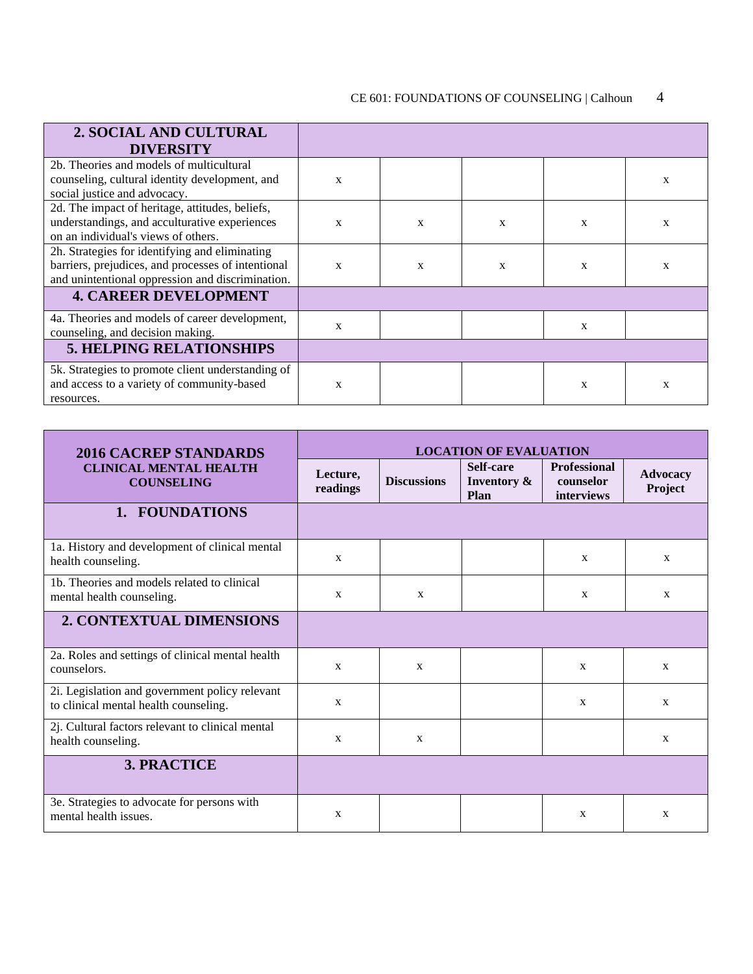| 2. SOCIAL AND CULTURAL                             |              |   |   |   |   |
|----------------------------------------------------|--------------|---|---|---|---|
| <b>DIVERSITY</b>                                   |              |   |   |   |   |
| 2b. Theories and models of multicultural           |              |   |   |   |   |
| counseling, cultural identity development, and     | $\mathbf x$  |   |   |   | X |
| social justice and advocacy.                       |              |   |   |   |   |
| 2d. The impact of heritage, attitudes, beliefs,    |              |   |   |   |   |
| understandings, and acculturative experiences      | X            | X | X | X | X |
| on an individual's views of others.                |              |   |   |   |   |
| 2h. Strategies for identifying and eliminating     |              |   |   |   |   |
| barriers, prejudices, and processes of intentional | $\mathbf{x}$ | X | X | X | X |
| and unintentional oppression and discrimination.   |              |   |   |   |   |
| <b>4. CAREER DEVELOPMENT</b>                       |              |   |   |   |   |
| 4a. Theories and models of career development,     |              |   |   |   |   |
| counseling, and decision making.                   | X            |   |   | X |   |
| <b>5. HELPING RELATIONSHIPS</b>                    |              |   |   |   |   |
| 5k. Strategies to promote client understanding of  |              |   |   |   |   |
| and access to a variety of community-based         | X            |   |   | X | X |
| resources.                                         |              |   |   |   |   |

| <b>2016 CACREP STANDARDS</b>                                                            | <b>LOCATION OF EVALUATION</b> |                    |                                  |                                                |                            |
|-----------------------------------------------------------------------------------------|-------------------------------|--------------------|----------------------------------|------------------------------------------------|----------------------------|
| <b>CLINICAL MENTAL HEALTH</b><br><b>COUNSELING</b>                                      | Lecture,<br>readings          | <b>Discussions</b> | Self-care<br>Inventory &<br>Plan | <b>Professional</b><br>counselor<br>interviews | <b>Advocacy</b><br>Project |
| 1. FOUNDATIONS                                                                          |                               |                    |                                  |                                                |                            |
| 1a. History and development of clinical mental<br>health counseling.                    | $\mathbf{X}$                  |                    |                                  | $\mathbf{X}$                                   | $\mathbf{X}$               |
| 1b. Theories and models related to clinical<br>mental health counseling.                | $\mathbf{X}$                  | $\mathbf{X}$       |                                  | X                                              | $\mathbf{X}$               |
| <b>2. CONTEXTUAL DIMENSIONS</b>                                                         |                               |                    |                                  |                                                |                            |
| 2a. Roles and settings of clinical mental health<br>counselors.                         | $\mathbf{X}$                  | $\mathbf{X}$       |                                  | X                                              | $\mathbf{X}$               |
| 2i. Legislation and government policy relevant<br>to clinical mental health counseling. | X                             |                    |                                  | $\mathbf{X}$                                   | X                          |
| 2j. Cultural factors relevant to clinical mental<br>health counseling.                  | $\mathbf{x}$                  | $\mathbf{X}$       |                                  |                                                | X                          |
| <b>3. PRACTICE</b>                                                                      |                               |                    |                                  |                                                |                            |
| 3e. Strategies to advocate for persons with<br>mental health issues.                    | $\mathbf{x}$                  |                    |                                  | $\mathbf{x}$                                   | X                          |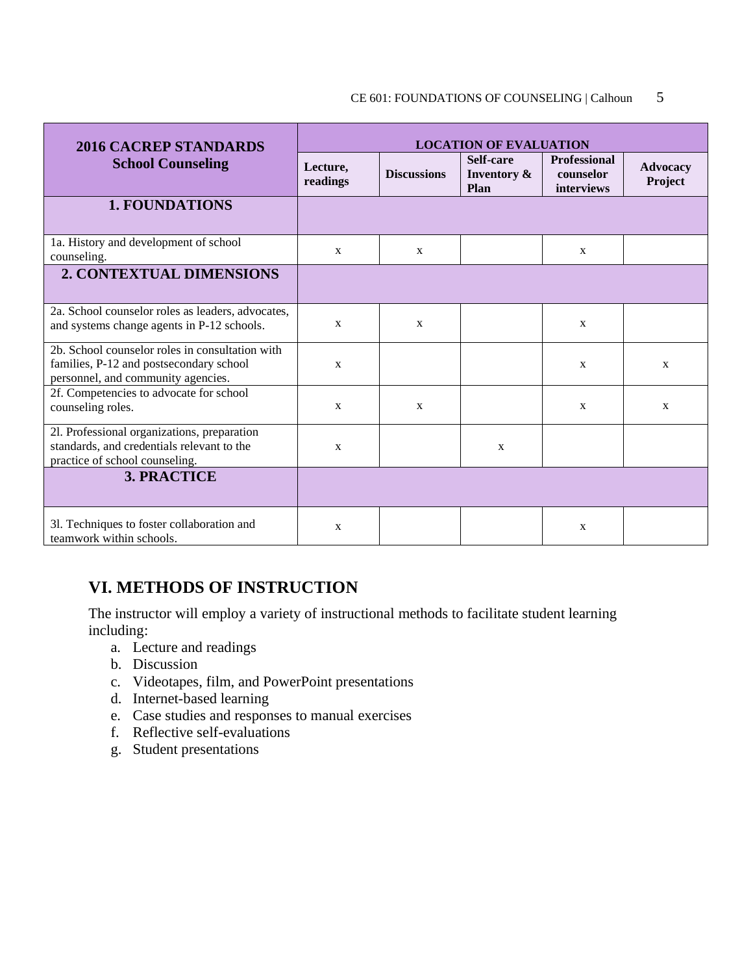#### CE 601: FOUNDATIONS OF COUNSELING | Calhoun 5

| <b>2016 CACREP STANDARDS</b>                                                                                                     | <b>LOCATION OF EVALUATION</b> |                    |                                  |                                                |                     |
|----------------------------------------------------------------------------------------------------------------------------------|-------------------------------|--------------------|----------------------------------|------------------------------------------------|---------------------|
| <b>School Counseling</b>                                                                                                         | Lecture,<br>readings          | <b>Discussions</b> | Self-care<br>Inventory &<br>Plan | <b>Professional</b><br>counselor<br>interviews | Advocacy<br>Project |
| <b>1. FOUNDATIONS</b>                                                                                                            |                               |                    |                                  |                                                |                     |
| 1a. History and development of school<br>counseling.                                                                             | $\mathbf{X}$                  | $\mathbf X$        |                                  | $\mathbf X$                                    |                     |
| 2. CONTEXTUAL DIMENSIONS                                                                                                         |                               |                    |                                  |                                                |                     |
| 2a. School counselor roles as leaders, advocates,<br>and systems change agents in P-12 schools.                                  | X                             | $\mathbf{X}$       |                                  | $\mathbf{X}$                                   |                     |
| 2b. School counselor roles in consultation with<br>families, P-12 and postsecondary school<br>personnel, and community agencies. | $\mathbf{X}$                  |                    |                                  | $\mathbf{X}$                                   | X                   |
| 2f. Competencies to advocate for school<br>counseling roles.                                                                     | $\mathbf X$                   | $\mathbf X$        |                                  | X                                              | X                   |
| 21. Professional organizations, preparation<br>standards, and credentials relevant to the<br>practice of school counseling.      | $\mathbf{X}$                  |                    | $\mathbf{X}$                     |                                                |                     |
| <b>3. PRACTICE</b>                                                                                                               |                               |                    |                                  |                                                |                     |
| 3l. Techniques to foster collaboration and<br>teamwork within schools.                                                           | X                             |                    |                                  | $\mathbf{X}$                                   |                     |

## **VI. METHODS OF INSTRUCTION**

The instructor will employ a variety of instructional methods to facilitate student learning including:

- a. Lecture and readings
- b. Discussion
- c. Videotapes, film, and PowerPoint presentations
- d. Internet-based learning
- e. Case studies and responses to manual exercises
- f. Reflective self-evaluations
- g. Student presentations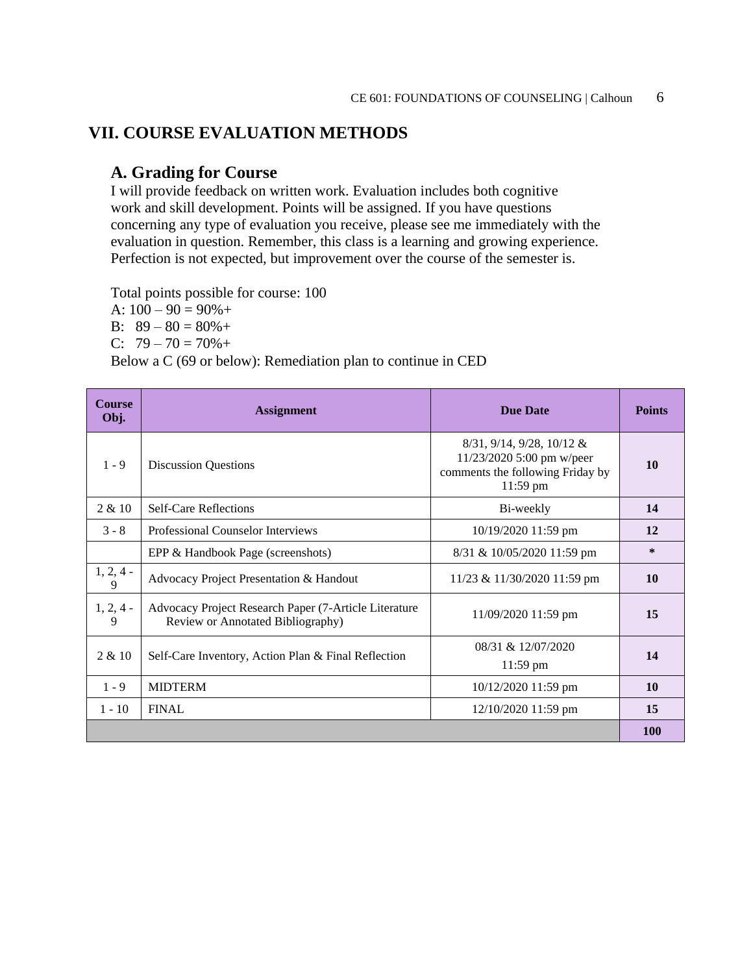## **VII. COURSE EVALUATION METHODS**

### **A. Grading for Course**

I will provide feedback on written work. Evaluation includes both cognitive work and skill development. Points will be assigned. If you have questions concerning any type of evaluation you receive, please see me immediately with the evaluation in question. Remember, this class is a learning and growing experience. Perfection is not expected, but improvement over the course of the semester is.

Total points possible for course: 100

A:  $100 - 90 = 90\% +$ 

B:  $89 - 80 = 80\% +$ 

C:  $79 - 70 = 70\% +$ 

Below a C (69 or below): Remediation plan to continue in CED

| <b>Course</b><br>Obj. | <b>Assignment</b>                                                                          | <b>Due Date</b>                                                                                                   | <b>Points</b> |
|-----------------------|--------------------------------------------------------------------------------------------|-------------------------------------------------------------------------------------------------------------------|---------------|
| $1 - 9$               | <b>Discussion Questions</b>                                                                | $8/31$ , $9/14$ , $9/28$ , $10/12$ &<br>11/23/2020 5:00 pm w/peer<br>comments the following Friday by<br>11:59 pm | 10            |
| 2 & 10                | <b>Self-Care Reflections</b>                                                               | Bi-weekly                                                                                                         | 14            |
| $3 - 8$               | <b>Professional Counselor Interviews</b>                                                   | 10/19/2020 11:59 pm                                                                                               | 12            |
|                       | EPP & Handbook Page (screenshots)                                                          | 8/31 & 10/05/2020 11:59 pm                                                                                        | $\ast$        |
| $1, 2, 4$ -<br>9      | Advocacy Project Presentation & Handout                                                    | 11/23 & 11/30/2020 11:59 pm                                                                                       | <b>10</b>     |
| $1, 2, 4$ -<br>9      | Advocacy Project Research Paper (7-Article Literature<br>Review or Annotated Bibliography) | 11/09/2020 11:59 pm                                                                                               | 15            |
| 2 & 10                | Self-Care Inventory, Action Plan & Final Reflection                                        | 08/31 & 12/07/2020<br>$11:59$ pm                                                                                  | 14            |
| $1 - 9$               | <b>MIDTERM</b>                                                                             | 10/12/2020 11:59 pm                                                                                               | 10            |
| $1 - 10$              | <b>FINAL</b>                                                                               | 12/10/2020 11:59 pm                                                                                               | 15            |
|                       |                                                                                            |                                                                                                                   | <b>100</b>    |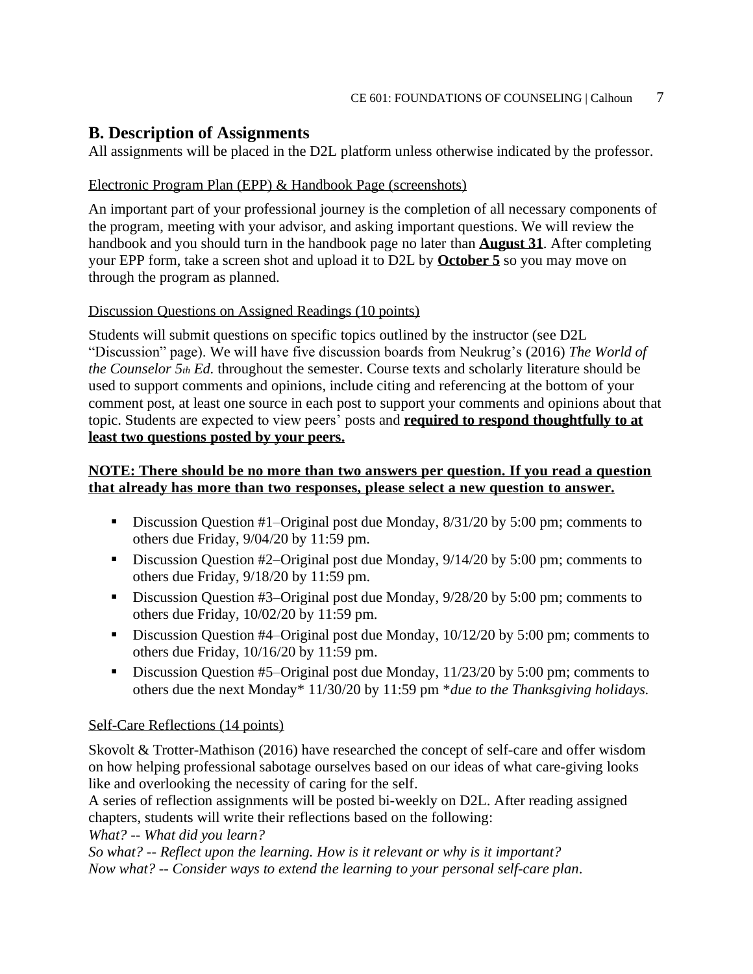### **B. Description of Assignments**

All assignments will be placed in the D2L platform unless otherwise indicated by the professor.

#### Electronic Program Plan (EPP) & Handbook Page (screenshots)

An important part of your professional journey is the completion of all necessary components of the program, meeting with your advisor, and asking important questions. We will review the handbook and you should turn in the handbook page no later than **August 31**. After completing your EPP form, take a screen shot and upload it to D2L by **October 5** so you may move on through the program as planned.

#### Discussion Questions on Assigned Readings (10 points)

Students will submit questions on specific topics outlined by the instructor (see D2L "Discussion" page). We will have five discussion boards from Neukrug's (2016) *The World of the Counselor 5th Ed.* throughout the semester. Course texts and scholarly literature should be used to support comments and opinions, include citing and referencing at the bottom of your comment post, at least one source in each post to support your comments and opinions about that topic. Students are expected to view peers' posts and **required to respond thoughtfully to at least two questions posted by your peers.**

#### **NOTE: There should be no more than two answers per question. If you read a question that already has more than two responses, please select a new question to answer.**

- Discussion Question #1–Original post due Monday, 8/31/20 by 5:00 pm; comments to others due Friday, 9/04/20 by 11:59 pm.
- Discussion Question #2–Original post due Monday, 9/14/20 by 5:00 pm; comments to others due Friday, 9/18/20 by 11:59 pm.
- Discussion Question #3–Original post due Monday, 9/28/20 by 5:00 pm; comments to others due Friday, 10/02/20 by 11:59 pm.
- Discussion Question #4–Original post due Monday, 10/12/20 by 5:00 pm; comments to others due Friday, 10/16/20 by 11:59 pm.
- Discussion Question #5–Original post due Monday, 11/23/20 by 5:00 pm; comments to others due the next Monday\* 11/30/20 by 11:59 pm \**due to the Thanksgiving holidays.*

#### Self-Care Reflections (14 points)

Skovolt & Trotter-Mathison (2016) have researched the concept of self-care and offer wisdom on how helping professional sabotage ourselves based on our ideas of what care-giving looks like and overlooking the necessity of caring for the self.

A series of reflection assignments will be posted bi-weekly on D2L. After reading assigned chapters, students will write their reflections based on the following:

*What? -- What did you learn?*

*So what? -- Reflect upon the learning. How is it relevant or why is it important? Now what? -- Consider ways to extend the learning to your personal self-care plan*.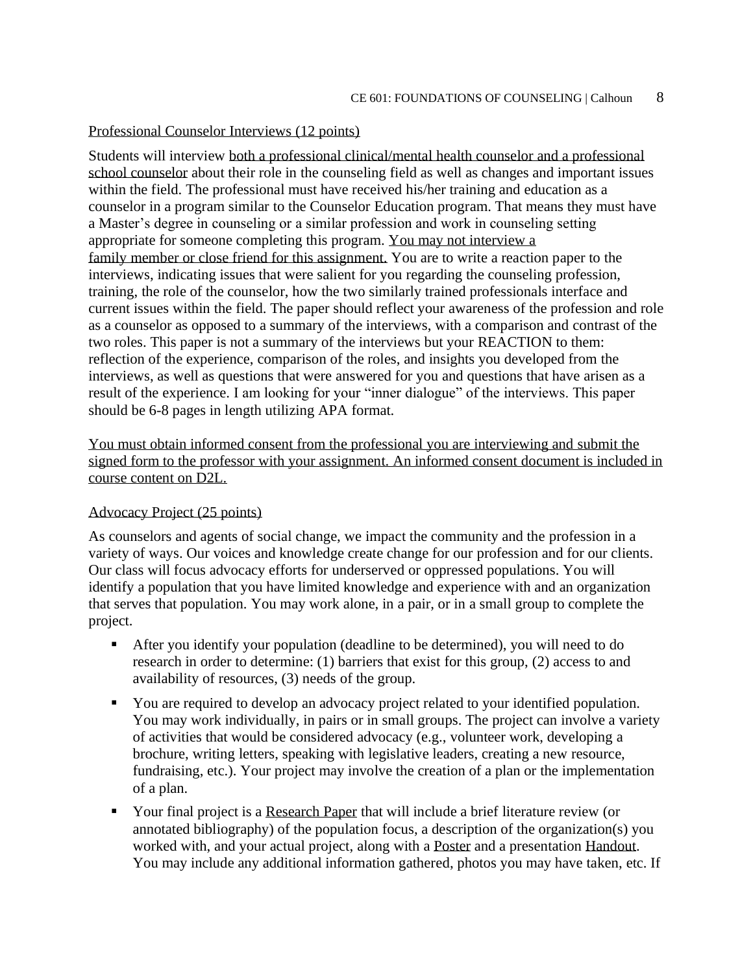#### Professional Counselor Interviews (12 points)

Students will interview both a professional clinical/mental health counselor and a professional school counselor about their role in the counseling field as well as changes and important issues within the field. The professional must have received his/her training and education as a counselor in a program similar to the Counselor Education program. That means they must have a Master's degree in counseling or a similar profession and work in counseling setting appropriate for someone completing this program. You may not interview a family member or close friend for this assignment. You are to write a reaction paper to the interviews, indicating issues that were salient for you regarding the counseling profession, training, the role of the counselor, how the two similarly trained professionals interface and current issues within the field. The paper should reflect your awareness of the profession and role as a counselor as opposed to a summary of the interviews, with a comparison and contrast of the two roles. This paper is not a summary of the interviews but your REACTION to them: reflection of the experience, comparison of the roles, and insights you developed from the interviews, as well as questions that were answered for you and questions that have arisen as a result of the experience. I am looking for your "inner dialogue" of the interviews. This paper should be 6-8 pages in length utilizing APA format.

You must obtain informed consent from the professional you are interviewing and submit the signed form to the professor with your assignment. An informed consent document is included in course content on D2L.

#### Advocacy Project (25 points)

As counselors and agents of social change, we impact the community and the profession in a variety of ways. Our voices and knowledge create change for our profession and for our clients. Our class will focus advocacy efforts for underserved or oppressed populations. You will identify a population that you have limited knowledge and experience with and an organization that serves that population. You may work alone, in a pair, or in a small group to complete the project.

- **•** After you identify your population (deadline to be determined), you will need to do research in order to determine: (1) barriers that exist for this group, (2) access to and availability of resources, (3) needs of the group.
- You are required to develop an advocacy project related to your identified population. You may work individually, in pairs or in small groups. The project can involve a variety of activities that would be considered advocacy (e.g., volunteer work, developing a brochure, writing letters, speaking with legislative leaders, creating a new resource, fundraising, etc.). Your project may involve the creation of a plan or the implementation of a plan.
- Your final project is a Research Paper that will include a brief literature review (or annotated bibliography) of the population focus, a description of the organization(s) you worked with, and your actual project, along with a Poster and a presentation Handout. You may include any additional information gathered, photos you may have taken, etc. If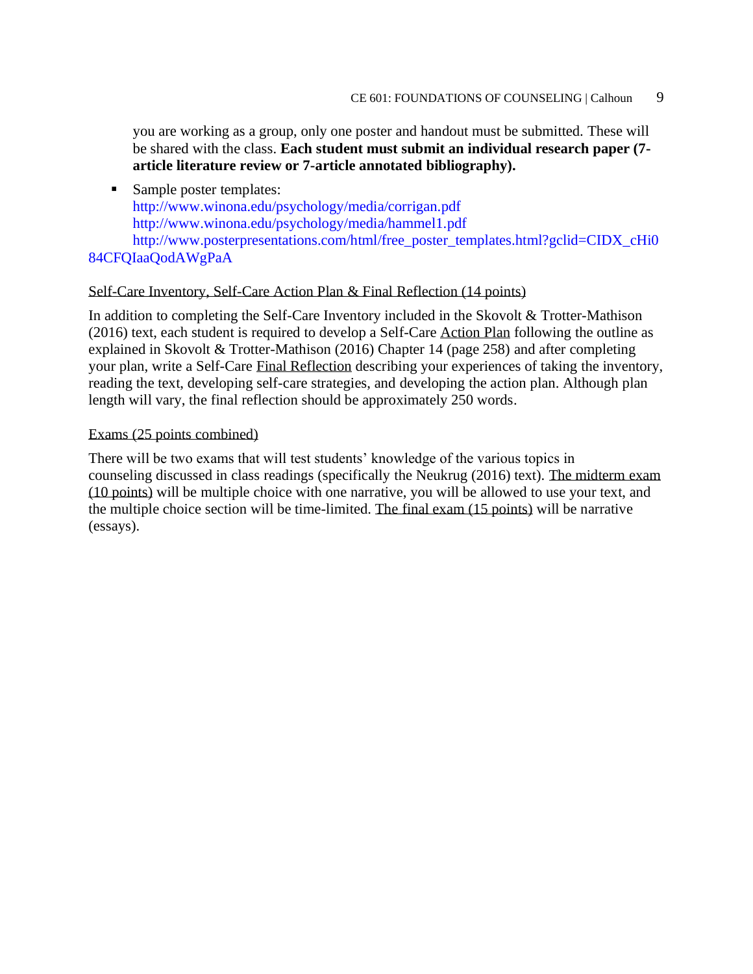you are working as a group, only one poster and handout must be submitted. These will be shared with the class. **Each student must submit an individual research paper (7 article literature review or 7-article annotated bibliography).**

■ Sample poster templates: http://www.winona.edu/psychology/media/corrigan.pdf http://www.winona.edu/psychology/media/hammel1.pdf http://www.posterpresentations.com/html/free\_poster\_templates.html?gclid=CIDX\_cHi0

#### 84CFQIaaQodAWgPaA

#### Self-Care Inventory, Self-Care Action Plan & Final Reflection (14 points)

In addition to completing the Self-Care Inventory included in the Skovolt & Trotter-Mathison (2016) text, each student is required to develop a Self-Care Action Plan following the outline as explained in Skovolt & Trotter-Mathison (2016) Chapter 14 (page 258) and after completing your plan, write a Self-Care Final Reflection describing your experiences of taking the inventory, reading the text, developing self-care strategies, and developing the action plan. Although plan length will vary, the final reflection should be approximately 250 words.

#### Exams (25 points combined)

There will be two exams that will test students' knowledge of the various topics in counseling discussed in class readings (specifically the Neukrug (2016) text). The midterm exam (10 points) will be multiple choice with one narrative, you will be allowed to use your text, and the multiple choice section will be time-limited. The final exam (15 points) will be narrative (essays).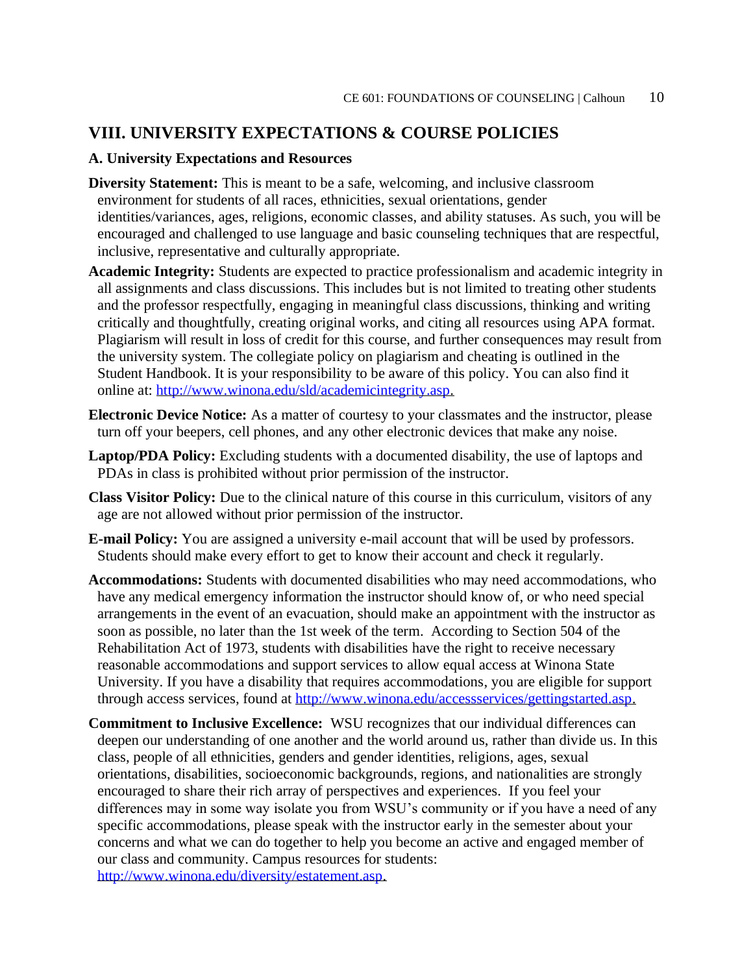### **VIII. UNIVERSITY EXPECTATIONS & COURSE POLICIES**

#### **A. University Expectations and Resources**

- **Diversity Statement:** This is meant to be a safe, welcoming, and inclusive classroom environment for students of all races, ethnicities, sexual orientations, gender identities/variances, ages, religions, economic classes, and ability statuses. As such, you will be encouraged and challenged to use language and basic counseling techniques that are respectful, inclusive, representative and culturally appropriate.
- **Academic Integrity:** Students are expected to practice professionalism and academic integrity in all assignments and class discussions. This includes but is not limited to treating other students and the professor respectfully, engaging in meaningful class discussions, thinking and writing critically and thoughtfully, creating original works, and citing all resources using APA format. Plagiarism will result in loss of credit for this course, and further consequences may result from the university system. The collegiate policy on plagiarism and cheating is outlined in the Student Handbook. It is your responsibility to be aware of this policy. You can also find it online at: [http://www.winona.edu/sld/academicintegrity.asp.](http://www.winona.edu/sld/academicintegrity.asp)
- **Electronic Device Notice:** As a matter of courtesy to your classmates and the instructor, please turn off your beepers, cell phones, and any other electronic devices that make any noise.
- **Laptop/PDA Policy:** Excluding students with a documented disability, the use of laptops and PDAs in class is prohibited without prior permission of the instructor.
- **Class Visitor Policy:** Due to the clinical nature of this course in this curriculum, visitors of any age are not allowed without prior permission of the instructor.
- **E-mail Policy:** You are assigned a university e-mail account that will be used by professors. Students should make every effort to get to know their account and check it regularly.
- **Accommodations:** Students with documented disabilities who may need accommodations, who have any medical emergency information the instructor should know of, or who need special arrangements in the event of an evacuation, should make an appointment with the instructor as soon as possible, no later than the 1st week of the term. According to Section 504 of the Rehabilitation Act of 1973, students with disabilities have the right to receive necessary reasonable accommodations and support services to allow equal access at Winona State University. If you have a disability that requires accommodations, you are eligible for support through access services, found at [http://www.winona.edu/accessservices/gettingstarted.asp.](http://www.winona.edu/accessservices/gettingstarted.asp)
- **Commitment to Inclusive Excellence:** WSU recognizes that our individual differences can deepen our understanding of one another and the world around us, rather than divide us. In this class, people of all ethnicities, genders and gender identities, religions, ages, sexual orientations, disabilities, socioeconomic backgrounds, regions, and nationalities are strongly encouraged to share their rich array of perspectives and experiences. If you feel your differences may in some way isolate you from WSU's community or if you have a need of any specific accommodations, please speak with the instructor early in the semester about your concerns and what we can do together to help you become an active and engaged member of our class and community. Campus resources for students: [http://www.winona.edu/diversity/estatement.asp.](http://www.winona.edu/diversity/estatement.asp)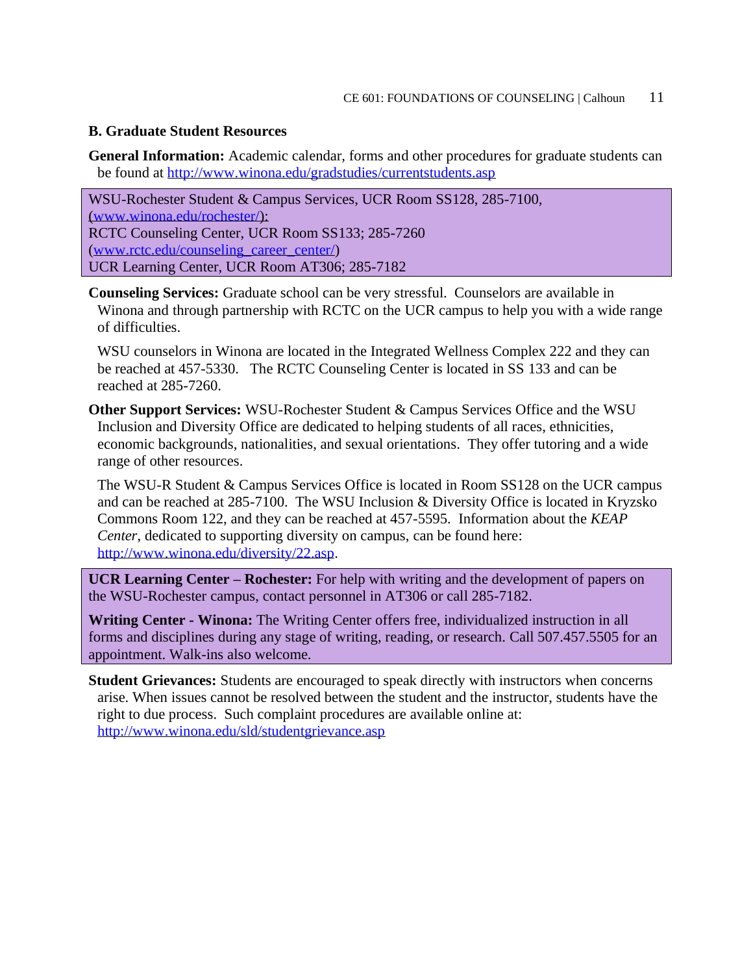#### **B. Graduate Student Resources**

**General Information:** Academic calendar, forms and other procedures for graduate students can be found at<http://www.winona.edu/gradstudies/currentstudents.asp>

WSU-Rochester Student & Campus Services, UCR Room SS128, 285-7100, [\(www.winona.edu/rochester/\)](http://www.winona.edu/rochester/): RCTC Counseling Center, UCR Room SS133; 285-7260 [\(www.rctc.edu/counseling\\_career\\_center/\)](http://www.rctc.edu/counseling_career_center/) UCR Learning Center, UCR Room AT306; 285-7182

**Counseling Services:** Graduate school can be very stressful. Counselors are available in Winona and through partnership with RCTC on the UCR campus to help you with a wide range of difficulties.

WSU counselors in Winona are located in the Integrated Wellness Complex 222 and they can be reached at 457-5330. The RCTC Counseling Center is located in SS 133 and can be reached at 285-7260.

**Other Support Services:** WSU-Rochester Student & Campus Services Office and the WSU Inclusion and Diversity Office are dedicated to helping students of all races, ethnicities, economic backgrounds, nationalities, and sexual orientations. They offer tutoring and a wide range of other resources.

The WSU-R Student & Campus Services Office is located in Room SS128 on the UCR campus and can be reached at 285-7100. The WSU Inclusion & Diversity Office is located in Kryzsko Commons Room 122, and they can be reached at 457-5595. Information about the *KEAP Center*, dedicated to supporting diversity on campus, can be found here: [http://www.winona.edu/diversity/22.asp.](http://www.winona.edu/diversity/22.asp)

**UCR Learning Center – Rochester:** For help with writing and the development of papers on the WSU-Rochester campus, contact personnel in AT306 or call 285-7182.

**Writing Center - Winona:** The Writing Center offers free, individualized instruction in all forms and disciplines during any stage of writing, reading, or research. Call 507.457.5505 for an appointment. Walk-ins also welcome.

**Student Grievances:** Students are encouraged to speak directly with instructors when concerns arise. When issues cannot be resolved between the student and the instructor, students have the right to due process. Such complaint procedures are available online at: <http://www.winona.edu/sld/studentgrievance.asp>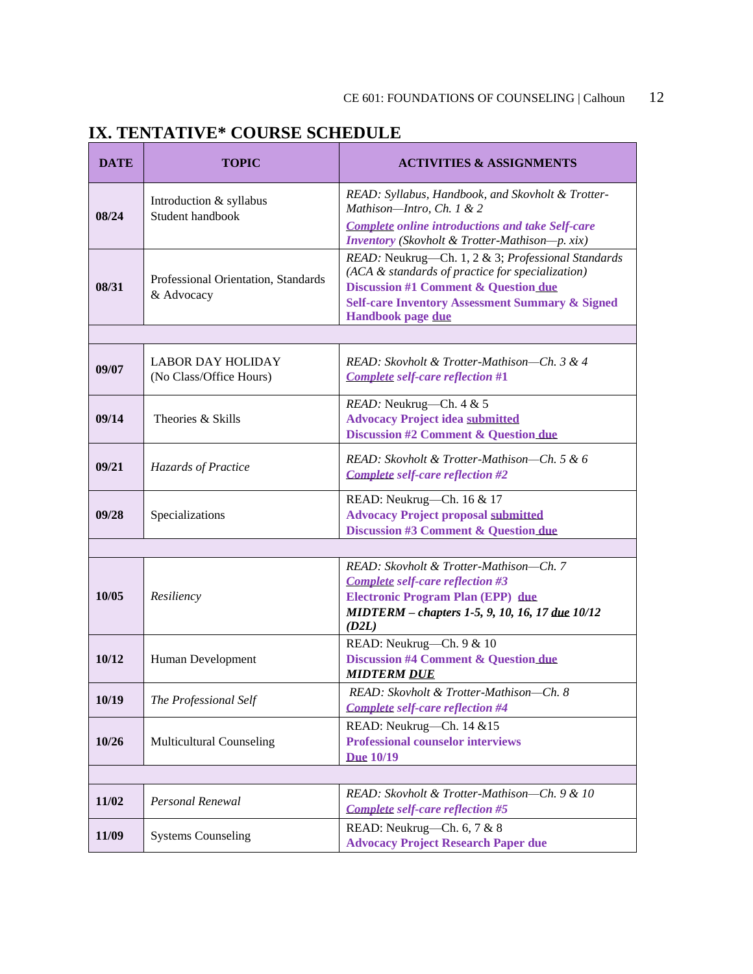## **IX. TENTATIVE\* COURSE SCHEDULE**

| <b>DATE</b> | <b>TOPIC</b>                                        | <b>ACTIVITIES &amp; ASSIGNMENTS</b>                                                                                                                                                                                                                 |
|-------------|-----------------------------------------------------|-----------------------------------------------------------------------------------------------------------------------------------------------------------------------------------------------------------------------------------------------------|
| 08/24       | Introduction & syllabus<br>Student handbook         | READ: Syllabus, Handbook, and Skovholt & Trotter-<br>Mathison-Intro, Ch. 1 & 2<br><b>Complete online introductions and take Self-care</b><br><b>Inventory</b> (Skovholt & Trotter-Mathison-p. xix)                                                  |
| 08/31       | Professional Orientation, Standards<br>& Advocacy   | READ: Neukrug-Ch. 1, 2 & 3; Professional Standards<br>(ACA & standards of practice for specialization)<br><b>Discussion #1 Comment &amp; Question due</b><br><b>Self-care Inventory Assessment Summary &amp; Signed</b><br><b>Handbook page due</b> |
|             |                                                     |                                                                                                                                                                                                                                                     |
| 09/07       | <b>LABOR DAY HOLIDAY</b><br>(No Class/Office Hours) | READ: Skovholt & Trotter-Mathison-Ch. 3 & 4<br><b>Complete self-care reflection #1</b>                                                                                                                                                              |
| 09/14       | Theories & Skills                                   | READ: Neukrug-Ch. 4 & 5<br><b>Advocacy Project idea submitted</b><br><b>Discussion #2 Comment &amp; Question due</b>                                                                                                                                |
| 09/21       | Hazards of Practice                                 | READ: Skovholt & Trotter-Mathison-Ch. 5 & 6<br><b>Complete self-care reflection #2</b>                                                                                                                                                              |
| 09/28       | Specializations                                     | READ: Neukrug-Ch. 16 & 17<br><b>Advocacy Project proposal submitted</b><br><b>Discussion #3 Comment &amp; Question due</b>                                                                                                                          |
|             |                                                     |                                                                                                                                                                                                                                                     |
| 10/05       | Resiliency                                          | READ: Skovholt & Trotter-Mathison-Ch. 7<br>Complete self-care reflection #3<br><b>Electronic Program Plan (EPP)</b> due<br>MIDTERM - chapters 1-5, 9, 10, 16, 17 due 10/12<br>(D2L)                                                                 |
| 10/12       | Human Development                                   | READ: Neukrug-Ch. 9 & 10<br><b>Discussion #4 Comment &amp; Question due</b><br><b>MIDTERM DUE</b>                                                                                                                                                   |
| 10/19       | The Professional Self                               | READ: Skovholt & Trotter-Mathison-Ch. 8<br><b>Complete self-care reflection #4</b>                                                                                                                                                                  |
| 10/26       | <b>Multicultural Counseling</b>                     | READ: Neukrug-Ch. 14 & 15<br><b>Professional counselor interviews</b><br><b>Due 10/19</b>                                                                                                                                                           |
|             |                                                     |                                                                                                                                                                                                                                                     |
| 11/02       | Personal Renewal                                    | READ: Skovholt & Trotter-Mathison-Ch. 9 & 10<br><b>Complete self-care reflection #5</b>                                                                                                                                                             |
| 11/09       | <b>Systems Counseling</b>                           | READ: Neukrug-Ch. 6, 7 & 8<br><b>Advocacy Project Research Paper due</b>                                                                                                                                                                            |